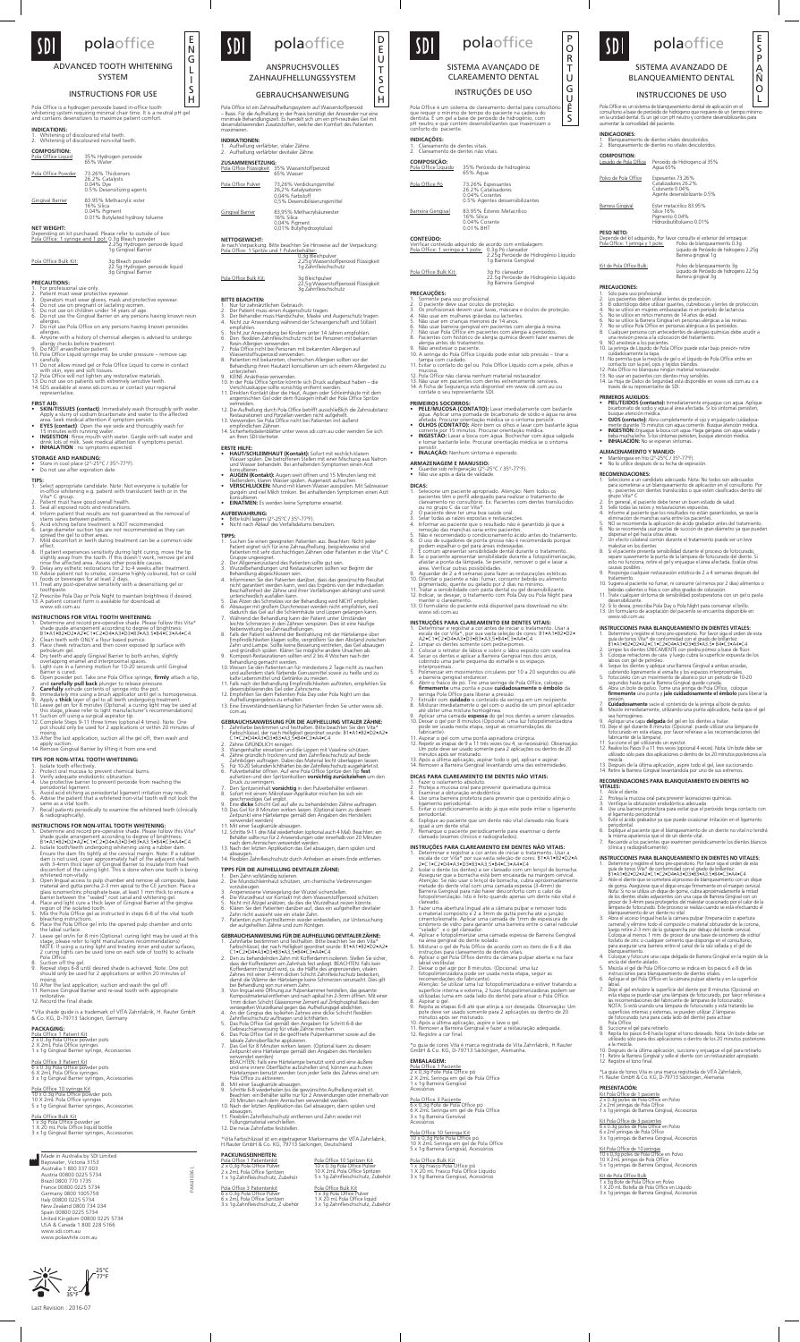## polaoffice SDI

ADVANCED TOOTH WHITENING SYSTEM

### INSTRUCTIONS FOR USE

Pola Office ist ein Zahnaufhellungssystem auf Wasserstoffperoxid<br>— Basis. Für die Aufhellung in der Praxis benötigt der Anwender nur eine<br>minimale Behandlungszeit. Es handelt sich um ein pH-neutrales Gel mit<br>desensibilisie maximieren.

**INDIKATIONEN:**<br>1. Aufhellung verfärbter, vitaler Zähne.<br>2. Aufhellung verfärbter devitaler Zähne. **ZUSAMMENSETZUNG:** Pola Office Flüssigkeit 35% Wasserstoffperoxid 65% Wasser Pola Office Pulver 73,26% Verdickungsmittel 26,2% Katalysatoren 0,04% Farbstoff 0,5% Desensibilisierungsmittel Gingival Barrier 83,95% Methacrylsäureester 16% Silica 0,04% Pigment 0,01% Butylhydroxytoluol **NETTOGEWICHT:**  Je nach Verpackung. Bitte beachten Sie Hinweise auf der Verpackung:<br><u>Pola Office: 1 Spritze und 1 Pulverbehälter:</u> 0,3g Bleichpulver 2,25g Wasserstoffperoxid Flüssigkeit 1g Zahnfleischschutz Pola Office Bulk Kit:

22,5g Wasserstoffperoxid Flüssigkeit 3g Zahnfleischschutz

## **BITTE BEACHTEN:**

- 11. BEAU-TI ENT.<br>Nur für zahnärztlichen Gebrauch.<br>Der Behandler muss einen Augenschutz tragen.<br>3. Der Behandler muss Handschuhe, Maske und Augenschaft und Stillzeit<br>Anwendung während der Schwangerschaft und Stillzeit
- 
- Nicht zur Anwendung bei Kindern unter 14 Jahren empfohlen.<br>Den flexiblen Zahnfleischschutz nicht bei Personen mit bekannten
- Resin-Allergien verwenden.<br>
2. Pola Office nicht bei Personen mit bekannten Allergien auf<br>
2. Pola Office nicht bei Personen mit bekannten Allergien auf<br>
Wasserstoffsuperoxid verwenden.
- Wasserstoffsuperoxid verwenden. 8. Patienten mit bekannten, chemischen Allergien sollten vor der Behandlung ihren Hautarzt konsultieren um sich einem Allergietest zu
- 
- 9. Unterziehen.<br>9. KEINE Anästhesie verwenden.<br>10. In der Pola Office Spritze könnte sich Druck aufgebaut haben die
- Verschlusskappe sollte vorsichtig entfernt werden.<br>11. Direkten Kontakt über die Haut, Augen oder Schleimhäute mit dem<br>angemischten Gel oder dem flüssigen Inhalt der Pola Office Spritze
- vermeiden. 12. Die Aufhellung durch Pola Office betrifft ausschließlich die Zahnsubstanz.
- Restaurationen und Porzellan werden nicht aufgehellt. 13. Verwenden Sie Pola Office nicht bei Patienten mit äußerst
- empfindlichen Zähnen. 14. Sicherheitsdatenblätter unter www.sdi.com.au oder wenden Sie sich an Ihren SDI-Vertreter.
- **ERSTE HILFE:**<br>• HAUT/SCHLEIMHAUT (Kontakt): Sofort mit reichlich klarem
- HAUT/SCHLEIMHAUT (Kontakt): Sofort mit reichlich klarem<br>Wasser spülen. Die betroffenen Stellen mit einer Mischung aus Natron<br>und Wasser behandeln. Bei anhaltenden Symptomen einen Arzt
- 
- konsultieren.<br>• AUGEN (Kontakt): Augen weit öffnen und 15 Minuten lang mit<br>• AUGEN (Kontakt): Augen. Augenarzt aufsuchen.<br>• VERSCHLUCKEN: Mund mit klarem Wasser ausspülen. Mit Salzwasser<br>• VERSCHLUCKEN: Mund mit Naren. Bei
- konsultieren.  **EINATMEN:** Es werden keine Symptome erwartet.
- 
- **AUFBEWAHRUNG:**<br>• Bitte kühl lagern (2°-25°C / 35°-77°F).<br>• Nicht nach Ablauf des Verfallsdatums benutzen.
- 
- - **TIPPS:** 1. Suchen Sie einen geeigneten Patienten aus. Beachten: Nicht jeder Patient eignet sich für eine Zahnaufhellung, beispielsweise sind Patienten mit sehr durchsichtigen Zähnen oder Patienten in der Vita\* C<br>Gruppe ungeeignet.<br>2. Der Allgemeinzustand des Patienten sollte gut sein.<br>3. Wurzelbehandlungen und Restaurationen sollten vor Beginn der
	-
	- Behandlung abgeschlossen sein.<br>21 ehemalung abgeschlossen sein.<br>24 Informieren Sie den Patienten darüber, dass das gewünschte Resultat<br>1 nicht garantiert werden kann, weil das Ergebnis von der individuellen<br>1 ebechaffenhei
	-
	-
	- daurch das Gle auf die Schleimhäute und Lippen gelangen kann.<br>
	Zu Während der Behandlung kann der Patient unter Umständen<br>
	leichte Schmerzen in den Zähnen verspüren. Dies ist eine häufige<br>
	leichte Schmerzen in den Zähnen v
	-
	-
	-
	-
	-

11. Mit einer Saugkanüle absaugen.<br>12. Schritte 9-11 drei Mal wiederholen (optional auch 4 Mal). Beachten: ein<br>Behälter sollte nur für 2 Anwendungen oder innerhalb von 20 Minuten<br>nach dem Anmischen verwendet werden.<br>13. Na absaugen. 14. Flexiblen Zahnfleischschutz durch Anheben an einem Ende entfernen.

- 4. Die Wurzelhaut vor Kontakt mit dem Wasserstoffperoxid schützen.<br>5. Nicht mit Ätzgel anätzen, da dies die Wurzelhaut reizen könnte.<br>6. Klären Sie den Patienten darüber auf, dass ein aufgehellter devitaler<br>7. Zahn nicht a
- 7. Patienten zum Kontrolltermin wieder einbestellen, zur Untersuchung der aufgehellten Zähne und zum Röntgen.

**ANSPRUCHSVOLLES** ZAHNAUFHELLUNGSSYSTEM

**GEBRAUCHSANWEISUNG FÜR DIE AUFHELLUNG VITALER ZÄHNE:**

1. Zahnfarbe bestimmen und festhalten. Bitte beachten Sie den Vita\*<br>
Earbschlüssel, der nach Helligkeit geordnet wurde: B1+A1+B2+D2+A2+<br>
C1+C2+D4+A3+D3+B3+A3,5+B4+C3+A4+C4<br>
2. Zähne GRÜNDICH reingen<br>
3. Wangenhalter einset

7. Den Spritzeninfalt **vorsichtig** in den Pulverbehälter entleeren.<br>8. Sofort mit einem Mikrofaser-Applikator mischen bis sich ein<br>geschmeidiges Gel ergibt.<br>9. Eine **dicke** Schicht Gel auf alle zu behandelnden Zähne auftra

<u>Pola Office Powder</u> 73.26% Thickeners<br>26.2% Catalysts<br>0.04% Dye<br>0.5% Desensitizing agents Gingival Barrier 83.95% Methacrylic ester 16% Silica 0.04% Pigment 0.01% Butylated hydroxy toluene

- 
- 
- **PRECAUTIONS:**<br>1. For professional use only.<br>2. Patient must wear protective eyewear.<br>2. Patient must wear gloves, mask and protective eyewear.<br>4. Do not use on pregnant or lactating women.<br>5. Do not use on children under
- 7. Do not use Pola Office on any persons having known peroxides
- allergies. 8. Anyone with a history of chemical allergies is advised to undergo allergy checks before treatment. 9. Do NOT anaesthetize patient. 10. Pola Office Liquid syringe may be under pressure remove cap carefully.
- 
- 11.Do not allow mixed gel or Pola Office Liquid to come in contact
- with skin, eyes and soft tissues. 12. Pola Office will not lighten any restorative materials. 13.Do not use on patients with extremely sensitive teeth.
- 14. SDS available at www.sdi.com.au or contact your regional
- 
- **FIRST AID: SKIN/TISSUES (contact)**: Immediately wash thoroughly with water. Apply a slurry of sodium bicarbonate and water to the affected
- 
- area. Seek medical attention if symptom persists.<br>
 FYES (contact): Open the eye wide and thoroughly wash for<br>
15 minutes with running water.<br>
 INGESTION: Rinse mouth with water. Gargle with salt water and<br>
drink lots of

## **STORAGE AND HANDLING: •** Store in cool place (2°-25°C / 35°-77°F).<br>• Do not use after expiration date.

**TIPPS FÜR DIE AUFHELLUNG DEVITALER ZÄHNE:** 1. Den Zahn vollständig isolieren. 2. Die Mundschleimhaut schützen, um chemische Verbrennungen

vorzubeugen. 3. Angemessene Versiegelung der Wurzel sicherstellen.

## **GEBRAUCHSANWEISUNG FÜR DIE AUFHELLUNG DEVITALER ZÄHNE:** 1. Zahnfarbe bestimmen und festhalten. Bitte beachten Sie den Vita\*

- **INSTRUCTIONS FOR VITAL TOOTH WHITENING:**<br>1. Determine and record pre-operative shade. Please follow this Vita\*<br>
shade guide arrangement according to degree of brightness:<br>
81•A1•B2•D2•A2•C1•C2•D4•A3•D3•B3•A3.5•B4•C3•A4•C4
- 
- 
- petroleum gel. 4. Dry teeth and apply Gingival Barrier to both arches, slightly
- overlapping enamel and interproximal spaces. 5. Light cure in a fanning motion for 10-20 seconds until Gingival
- 
- 
- Barrier is cured.<br>
Gopen powder pot. Take one Pola Office syringe, **firmly** attach a tip,<br>
6. Open powder pot. Take one Pola Office syringe into the pot.<br>
7. **Carefully exitude** contents of syringe into the pot.<br>
8. Immedi
- 
- this stage, please refer to light manufacturer's recommendations)<br>11. Suction off using a surgical aspirator tip.<br>12. Complete Steps 9-11 three times (optional 4 times). Note: One<br>pot should only be used for 2 applications
- mixing. 13.After the last application, suction all the gel off, then wash and
- apply suction.<br>14. Remove Gingival Barrier by lifting it from one end.
- **TIPS FOR NON-VITAL TOOTH WHITENING:**
- 
- 
- 1. Isolate tooth effectively.<br>
1. Isolate tooth effectively.<br>
2. Protect oral mucosa to prevent chemical burns.<br>
3. Verify adequate endodontic obturation.<br>
4. Use protective barrier to prevent peroxide from reaching the<br>
1
- 
- 5. periodontal ligament.<br>5. Avoid acid etching as periodontal ligament irritation may result.<br>6. Advise the patient that a whitened non-vital tooth will not look the
- same as a vital tooth.<br>7. Recall patients periodically to examine the whitened teeth (clinically & radiographically).

- 1. Determine and record pre-operative shade. Please follow this Vita\* shade guide arrangement according to degree of brightness:
- B1+A1+B2+D2+A2+C1+C2+D4+A3+D35+B3+A3.5+B4+C3+A4+C4<br>
2. Isolate tooth/teeth undergoing whitening using a rubber dam.<br>
Ensure the dam fits tightly at the cervical margin. Note: If a rubber<br>
first the dam fits tightly at the
- 

- Farbschlüssel, der nach Helligkeit geordnet wurde: B1•A1•B2•D2•A2• C1•C2•D4•A3•D3•B3•A3,5•B4•C3•A4•C4
- 2. Den zu behandelnden Zahn mit Kofferdamm isolieren. Stellen Sie sicher,<br>dass der Kofferdamm am Zahnhals fest anliegt. BEACHTEN: Falls kein<br>Kofferdamm benutzt wird, ca. die Hälfte des angrenzenden, vitalen<br>Zahnes mit eine
- Bei Behandlung von nur einem Zahn.<br>2. Von lingual eine Öffnung zur Pulpenkammer herstellen, das gesamte Kompositmaterial entfernen und nach apikal hin 2-3mm öffnen. Mit einer 1mm dicken Schicht Glasionomer Zement auf Zinkp
- 
- Zahnfleischschutz auftragen und lichthärten.<br>5. Das Pola Office Gel gemäß den Angaben für Schritt 6-8 der<br>Gebrauchsanweisung für vitale Zähne mischen.<br>6. Das Pola Office Gel in die geöffnete Pulpenkammer sowie auf die<br>labi
- 
- Zeitpunkt eine Härtelampe gemäß den Angaben des Herstellers
	- verwendet werden)<br>BEACHTEN: Falls eine Härtelampe benutzt wird und eine äußere<br>und eine innere Oberfläche aufzuhellen sind, können auch zwei<br>Härtelampen benutzt werden (von jeder Seite des Zahnes eine) um<br>Pola Office zu ak
- 
- 8. Mit einer Saugkanüle absaugen.<br>9. Schritte 6-8 wiederholen bis die gewünschte Aufhellung erzielt ist.<br>9. Schritte 6-8 wiederholen bis die gewünschte Aufhellung erzielt ist.<br>20 Minuten nach dem Anmischen verwendet werden
- 11. Flexiblen Zahnfleischschutz entfernen und Zahn wieder mit
- Füllungsmaterial verschließen. 12. Die neue Zahnfarbe feststellen.
- 

\*Vita Farbschlüssel ist ein eigetragener Markenname der VITA Zahnfabrik, H.Rauter GmbH & Co. KG, 79713 Säckingen, Deutschland

Pola Office 3 Patientenkit 6 x 0.3g Pola Office Pulver 6 x 2mL Pola Office Spritzen 3 x 1g Zahnfleischschutz, Z ubehör

D E U T S C H

Pola Office é um sistema de clareamento dental para consultório<br>que requer o mínimo de tempo do paciente na cadeira do<br>dentista. É um gel a base de peróxido de hidrogênio, com<br>pH neutro e que contém desensibilizantes que m



tampa com cuidado. 11. Evitar o contato do gel ou Pola Office Líquido com a pele, olhos e mucosa.<br>12. Pola Office não clareia nenhum material restaurador.<br>13. Não usar em pacientes com dentes extremamente sensíveis.<br>14. A Ficha de Segurança está disponível em www.sdi.com.au ou<br>contate o seu representante SDI.

**• PELE/MUCOSA (CONTATO):** Lavar imediatamente com bastante<br>água. Aplicar uma pomada de bicarbonato de sódio e água na área<br>afetada. Procurar orientação médica se o sintoma persistir.

• **OLHOS (CONTATO):** Abrir bem os olhos e lavar com bastante água<br>• **INGESTÃO:** Lavar a boca com água. Bochechar com água salgada<br>• **INGESTÃO:** Lavar a boca com água. Bochechar com água salgada<br>• e tomar bastante leite. Pr

1. Selecione um paciente apropriado. Atenção: Nem todos os<br>pacientes têm o perfil adequado para realizar o tratamento de<br>clareamento no consultório. Ex: Pacientes com dentes translúcidos<br>o un o grupo C da cor Vita\*.<br>2. O p

remoção das manchas varia entre pacientes.<br>5. Não é recomendado o condicionamento ácido antes do tratamento.<br>6. O uso de sugadores de ponta grossa não é recomendado porque podem espalhar o gel para áreas indesejadas.<br>7. É comum apresentar sensibilidade dental durante o tratamento.<br>8. Se o paciente apresentar sensibilidade durante a fotopolimerização, afastar a ponta da lâmpada. Se persistir, remover o gel e lavar a<br>área. Verificar outras possibilidades.<br>9. Aguardar de 2 a 4 semanas para fazer as restaurações estéticas.<br>10. Orientar o paciente a não: fumar, consumir beb

GEBRAUCHSANWEISUNG

Pola Office is a hydrogen peroxide based in-office tooth whitening system requiring minimal chair time. It is a neutral pH gel and contains desensitizers to maximize patient comfort.

**INDICATIONS:** 1. Whitening of discoloured vital teeth. 2. Whitening of discoloured non-vital teeth. **COMPOSITION:**<br>Pola Office Liquid Pola Office Liquid 35% Hydrogen peroxide 65% Water

**NET WEIGHT:**  Depending on kit purchased. Please refer to outside of box: Pola Office: 1 syringe and 1 pot: 0.3g Bleach powder 2.25g Hydrogen peroxide liquid 1g Gingival Barrier

22.5g Hydrogen peroxide liquid 3g Gingival Barrier

Pola Office Bulk Kit:

pigmentado, quente ou gelado por 2 dias no mínimo.<br>11. Tratar a sensibilidade com pasta dental ou gel desensibilizante.<br>12. Indicar, se desejar, o tratamento com Pola Day ou Pola Night para<br>manter o clareamento. 13. O formulário do paciente está disponível para download no site: www.sdi.com.au **INSTRUÇÕES PARA CLAREAMENTO EM DENTES VITAIS:**

1. Determinar e registrar a cor antes de iniciar o tratamento. Usar a<br>escala de cor Vita\*, por sua vasta seleção de cores: B1•A1•B2•D2•<br>A2•C1•C2•D4•A3•D3•B3•A3,5•B4•C3•A4•C4<br>2. Limpar os dentes somente com pedra-pomes.<br>3. Secar os dentes e aplicar a Barreira Gengival nos dois arcos, cobrindo uma parte pequena do esmalte e os espaços interproximais. 5. Polimerizar em movimentos circulares por 10 a 20 segundos ou até a barreira gengival endurecer. 6. Abrir o frasco de pó. Tire uma seringa de Pola Office, coloque **firmemente** uma ponta e puxe **cuidadosamente o êmbolo** da<br>seringa Pola Office para liberar a pressão.<br>7. Extrudir com **cuidado** o conteúdo da seringa em um recipiente.<br>8. Misturar imediatamente o gel com o auxílio de um p até obter uma mistura homogênea.<br>9. Aplicar uma camada **espessa** do gel nos dentes a serem clareados.<br>10. Deixar o gel por 8 minutos (Opcional: uma luz fotopolimerizadora pode ser una cannada espessa do ger nos denes a recento de también do pode ser usada nesta etapa, seguir as recomendações do pode ser usada nesta etapa, seguir as recomendações do fabricante). fabricante).<br>11. Aspirar o gel com uma ponta aspiradora cirúrgica.<br>12. Repetir as etapas de 9 a 11 três vezes (ou 4, se necessário). Observação:<br>Um pote deve ser usado somente para 2 aplicações ou dentro de 20

representative.

**TIPS:**

- 1. Select appropriate candidate. Note: Not everyone is suitable for<br>in-office whitening e.g. patient with translucent teeth or in the<br>Vita\* C group.<br>2. Patient must have good overall health.<br>3. Seal all exposed roots and r
- 
- 
- stains varies between patients. 5. Acid etching before treatment is NOT recommended.
- 
- 6. Large diameter suction tips are not recommended as they can spread the gel to other areas. 7. Mild discomfort in teeth during treatment can be a common side
- 
- effect.<br>
effect.<br>
a fraction experiences sensitivity during light curing, move the tip<br>
Slightly away from the tooth. If this doesn't work, remove gel and<br>
rinse the affected area. Assess other possible causes.<br>
9. Delay a
- 
- 

Pola Office 3 Paciente 6 x 0,3g Pote de Pola Office pó 6 X 2mL Seringa em gel de Pola Office 3 x 1g Barreira Genvival sórios

1. Blanqueamiento de dientes vitales descoloridos. 2. Blanqueamiento de dientes no vitales descoloridos. **COMPOSITION:**<br><u>Liquido de Pola Office</u> Peroxido de Hidrogeno al 35%<br>Agua 65%

Polvo de Pola Office Espesantes 73.26%<br>Catalizadores 26.2%

### **INSTRUCTIONS FOR NON-VITAL TOOTH WHITENING:**

10. Sugiera al paciente no fumar, ni consumir (al menos por 2 días) alimentos o<br>bebidas calientes o frías o con altos grados de coloración.<br>11. Trate cualquier síntoma de sensibilidad postoperatoria con un gel o pasta<br>dese 12. Si lo desea, prescriba Pola Day o Pola Night para conservar el brillo. 13. Un formulario de aceptación del paciente se encuentra disponible en

INSTRUCCIONES PARA BLANQUEAMIENTO EN DIENTES VITALES:<br>
1. Determine y registre el tono pre-operatorio. Por favor siga el orden de esta<br>
quia de tonos Vita\* de conformidad con el grado de brillantez.<br>
2. Limpie los dientes

se homogéneo.<br>
9. Aplique una capa **delgada** del gel en los dientes a tratar.<br>
9. Aplique una capa **delgada** del gel en los dientes a tratar.<br>
10. Deje el gel durante 8 minutos (Opcional: puede utilizar una lámpara de<br>
fol

presioni.<br>7. **Cuidadosamente** vacíe el contenido de la jeringa al bote de polvo.<br>8. Mezcle inmediatamente, utilizando una punta aplicadora, hasta qu 8. Mezcle inmediatamente, utilizando una punta aplicadora, hasta que el gel

mezcla. 13. Después de la última aplicación, aspire todo el gel, lave succionando. 14. Retire la Barrera Gingival levantándola por uno de sus extremos. **RECOMENDACIONES PARA BLANQUEAMIENTO EN DIENTES NO VITALES:**<br>1. Aísle el diente.<br>2. Proteja la mucosa oral para prevenir laceraciones químicas.<br>3. Verifique la obturación endodóntica adecuada

- 
- region of the isolated tooth. 5. Mix the Pola Office gel as instructed in steps 6-8 of the vital tooth
- bleaching instructions. 6. Place the Pola Office gel into the opened pulp chamber and onto
- the labila surface.<br>The labila surface of min (Optional: curing light may be used at this<br>stage, please refer to light manufactures recommendations)<br>NOTE: If using a curing lights din teating inner and outer surfaces,<br> $2 \text$
- 
- 
- mixing. 10.After the last application, suction and wash the gel off.
- 11. Remove Gingival Barrier and re-seal tooth with appropriate
- restorative. 12. Record the final shade.

\*Vita shade guide is a trademark of VITA Zahnfabrik, H. Rauter GmbH & Co. KG, D-79713 Säckingen, Germany

- 
- 
- P**ACKAGING:**<br><u>Pola Office 1 Patient Kit</u><br>2 x 0.3g Pola Office powder pots<br>2 x 2mL Pola Office syringes<br>1 x 1g Gingival Barrier syringe, Accessories
- 
- 
- P<u>ola Office 3 Patient Kit</u><br>6 x 0.3g Pola Office powder pots<br>6 X 2mL Pola Office syringes, Accessories<br>3 x 1g Gingival Barrier syringes, Accessories

<u>Pola Office 10 syringe Kit</u><br>10 x 0.3g Pola Office powder pots<br>10 X 2mL Pola Office syringes<br>5 x 1g Gingival Barrier syringes, Accessories

- 
- 
- Pola Office Bulk Kit 1 x 3g Pola Office powder jar 1 X 20 mL Pola Office liquid bottle 3 x 1g Gingival Barrier syringes, Accessories

E N G L I S H

 $\vert$  SDI

conforto do paciente. **INDICAÇÕES:**

 $\vert$  SDI $\vert$ 

Pola Office Bulk Kit:

**COMPOSIÇÃO:** Pola Office Líquido 35% Peróxido de hidrogênio 65% Água

Pola Office Pó 73.26% Espessantes 26.2% Catalisadores

0.04% Corantes 0.5% Agentes dessensibilizantes

Barreira Gengival 83.95% Ésteres Metacrílico 16% Silica 0.04% Corante 0.01% BHT

**CONTEÚDO:** Verificar conteúdo adquirido de acordo com embalagem: Pola Office: 1 seringa e 1 pote: 0.3g Pó clareador 2.25g Peróxide de Hidrogênio Líquido 1g Barreira Gengival

**ECAUÇOES:**<br>Comente para uso profissional.<br>O paciente deve usar óculos de proteção.<br>Os profissionais devem usar luvas, máscara e óculos de proteção.<br>Não usar em mulheres grávidas ou lactentes.<br>Não usar em crianças menores

5. Não usar en reinaçãs menores de 14 anos.<br>6. Não usar barreira gengival em pacientes com alergia à resina.<br>7. Não usar Pola Office em pacientes com alergia aperóxidos.<br>8. Pacientes com histórico de alergia química devem

22.5g Peróxide de Hidrogênio Líquido 3g Barreira Gengival

**PRECAUÇÕES:**

1. Clareamento de dentes vitais.<br>2. Clareamento de dentes não vitais.

**PRIMEIROS SOCORROS:**

**• INALAÇÃO:** Nenhum sintoma é esperado. **ARMAZENAGEM E MANUSEIO: •** Guardar sob refrigeração (2°-25°C / 35°-77°F). • Não use após a data de validade.

**DICAS:**

minutos após ser misturado. 13.Após a última aplicação, aspirar todo o gel, aplicar e aspirar. 14. Remover a Barreira Gengival levantando uma das extremidades. **DICAS PARA CLAREAMENTO EM DENTES NÃO VITAIS:**

1. Fazer o isolamento absoluto.<br>2. Proteja a mucosa oral para prevenir queimadura química.<br>3. Examinar a obturação endodôntica<br>4. Use uma barreira protetora para prevenir que o peróxido atinja o<br>6. Evitar o condicionamento

| Pola Office 1 Patientenkit        | Pola Office 10 Spritzen Kit        |
|-----------------------------------|------------------------------------|
| 2 x 0.3g Pola Office Pulver       | 10 x 0.3g Pola Office Pulver       |
| 2 x 2mL Pola Office Spritzen      | 10 X 2mL Pola Office Spritzen      |
| 1 x 1g Zahnfleischschutz, Zubehör | 5 x 1 a Zahnfleischschutz. Zubehör |
|                                   |                                    |

## **PACKUNGSEINHEITEN:** Pola Office 10 Spritzen Kit 10 x 0.3g Pola Office Pulver Pola Office Bulk Kit

6. Explique ao paciente que um dente não vital clareado não ficará igual a um dente vital. 7. Remarque o paciente periodicamente para examinar o dente clareado (exames clínicos e radiografados). **INSTRUÇÕES PARA CLAREAMENTO EM DENTES NÃO VITAIS:**

metade do dente vital com uma camada espessa (3-4mm) de Barreira Gengival para não haver desconforto com o calor da

1. Determinar e registrar a cor antes de iniciar o tratamento. Usar a escala de cor Vita\* por sua vasta seleção de cores: B1•A1•B2•D2•A<br>2•C1•C2•D4•A3•D3•B3•A3,5•B4•C3•A4+C4<br>2. Isolar o dente (os dentes) a ser clareado com

- fotopolimerização. Isto é feito quando apenas um dente não vital é<br>clareado.<br>3. Fazer uma abertura lingual até a câmara pulpar e remover todo<br>o material compósito e 2 a 3mm de gutta percha até a junção<br>cimento/esmalte. Apl
- 
- 
- 
- instruções para clareamento de dentes vitais.<br>6. Aplicar o gel Pola Office dentro da câmara pulpar aberta e na face<br>labial vestibular.<br>7. Deixar o gel agir por 8 minutos. (Opcional: uma luz<br>fotopolimerizadora pode ser usad Atenção: Se utilizar uma luz fotopolimerizadora e estiver tratando a superfície interna e externa, 2 luzes fotopolimerizadoras podem ser utilizadas (uma em cada lado do dente) para ativar o Pola Office.
- 
- 8. Aspirar o gel. 9. Repita as etapas 6-8 até que atinja a cor desejada. Observação: Um pote deve ser usado somente para 2 aplicações ou dentro de 20<br>minutos após ser misturado.<br>10. Após a última aplicação, aspire e lave o gel.<br>11. Remover a Barreira Gengival e fazer a restauração adequada.<br>12. Registre a cor
- 
- 

\*o guia de cores Vita é marca registrada de Vita Zahnfabrik, H Rauter GmbH & Co. KG, D-79713 Säckingen, Alemanha.

### **EMBALAGEM:**

P<u>ola Office 1 Paciente</u><br>2 x 0,3g Pote Pola Office pó<br>2 X 2mL Seringa em gel de Pola Office<br>1 x 1g Barreira Gengival<br>Acessórios

Pola Office 10 Seringa Kit 10 x 0,3g Pote Pola Office pó 10 X 2mL Seringa em gel de Pola Office 5 x 1g Barreira Gengival, Acessórios

Pola Office Bulk Kit 1 x 3g Frasco Pola Office pó 1 X 20 mL Frasco Pola Office Líquido 3 x 1g Barreira Gengival, Acessórios

polaoffice

SISTEMA AVANÇADO DE CLAREAMENTO DENTAL INSTRUÇÕES DE USO

P O R T U G U Ê S

Pola Office es un sistema de blanqueamiento dental de aplicación en el<br>consultorio a base de peróxido de hidrógeno que requiere de un tiempo mínimo<br>en la unidad dental. Es un gel con pH neutro y contiene desensibilizantes

aumentar la comodidad del paciente.

**INDICACIONES:**

SDI

Colorante 0.04% Agente desensibilizante 0.5%

**PESO NETO:**<br>PESO NETO: Neto del kit adquirido, Por favor consulte el exterior del empaque:<br>Pola Office: 1 jeringa y 1 pote: Polvo de blanqueamiento 0.3g<br>Barrera gingival 1g

Barrera Gingival Ester metacrilico 83.95% Silice 16% Pigmento 0.04% Hidroxibutiltolueno 0.01%

Kit de Pola Office Bulk: Polvo de blanqueamiento 3g Liquido de Peróxido de hidrogeno 22.5g Barrera gingival 3g

1. Sólo para uso profesional.<br>2. Los pacientes deben utilizar lentes de protección.<br>3. El odontólogo debe utilizar guantes, cubrebocas y lentes de protección.<br>4. No se utilice en mujeres embarazadas ni en periodo de lactan

6. No se utilice la Barrera Gingival en personas alérgicas a las resinas.<br>7. No se utilice Pola Office en personas alérgicas a los peróxidos.<br>8. Cualquier persona con antecedentes de alergias químicas debe acudir a<br>9. NO a

cuidadosamente la tapa.<br>11. No premita que la mezcla de gel o el Líquido de Pola Office entre en<br>12. Pola Office no banquea ningún material restaurador.<br>12. Pola Office no blanquea ningún material restaurador.<br>13. No usar

**PRIMEROS AUXILIOS:**<br>• **PIEL/TEJIDOS (contacto):** Inmediatamente enjuague con agua. Aplique<br>bicarbonato de sodio y agua al área afectada. Si los síntomas persisten,<br>busque atención médica.

• DJOS (contacto): Abra completamente el ojo y enjuáguelo cuidadosa-<br>mente durante 15 minutos con agua corriente. Busque atención médica.<br>• INGESTIÓN: Enjuague la boca con agua. Haga gárgaras con agua salada y<br>beba mucha l

**PRECAUCIONES:**

través de su representante de SDI.

**ALMACENAMEINTO Y MANEJO: •** Manténgase en frío (2°-25°C / 35°-77°F). **•** No lo utilice después de su fecha de expiración.

**RECOMENDACIONES:**

1. Seleccione a un candidato adecuado. Nota: No todos son adecuados

para someterse a un blanqueamiento de aplicación en el consultorio. Por<br>ej: pacientes con dientes translúcidos o que estén clasificados dentro del<br>2. En general, el paciente debe tener un buen estado de salud.<br>3. Selle tod

eliminación de manchas varía entre los pacientes.<br>5. NO se recomienda la aplicación de ácido grabador antes del tratamiento.<br>6. No se recomienda usar puntas de succión de gran diámetro ya que pueden<br>dispersar el gel hacia

8. Si el paciente presenta sensibilidad durante el proceso de fotocurado, separe suavemente la punta de la lámpara de fotocurado del diente. Si esto no funciona, retire el gel y enjuague el área afectada. Evalúe otras caus

www.sdi.com.au

4. Use una barrera protectora para evitar que el peróxido tenga contacto con el ligamento periodontal 5. Evite el ácido grabador ya que puede ocasionar irritación en el ligamento periodontal.<br>6. Explique al paciente que el blanqueamiento de un diente no vital no tendrá<br>la misma apariencia que el de un diente vital. 7. Recuerde a los pacientes que examinen periódicamente los dientes blancos (clínica y radiográficamente). **INSTRUCCIONES PARA BLANQUEAMIENTO EN DIENTES NO VITALES:** 1. Determine y registre el tono pre-operatorio. Por favor siga el orden de esta<br>guía de tonos Vita\* de conformidad con el grado de brillantez:<br>B1•A1•B2•D2•A2•C1•C2•D4•A3•D3•B3•A3.5•B4•C3•A4•C4 2. Aísle el diente que se someterá al proceso de blanqueamiento con un dique de goma. Asegúrese que el dique encaje firmemente en el margen cervical. Nota: Si no se utiliza un dique de goma, cubra aproximadamente la mitad

- de los dientes vitales adyacentes con una capa de Barrera Gingival con un grosor de 3-4mm para protegerlos del malestar ocasionado por el calor de la mpara de fotocurado. Este proceso se realiza cuando se está efectuando el
- blanqueamiento de un diente no vital<br>3. Abra el acceso lingual hasta la cámara pulpar (trepanación o apertura<br>5. cameral) y elimine todo el composite o material obturador de la corona,<br>luego retre 2-3 mm de la gutapercha p fosfato de zinc o cualquier cemento que disponga en el consultorio,<br>para asegurar una barrera entre el canal de la raíz sellada y el gel de<br>blanqueamiento.<br>4. Coloque y fotocure una capa delgada de Barrera Gingival en la r
- 
- 
- instrucciones para blanqueamiento de dientes vitales. 6. Aplique el gel Pola Office en la cámara pulpar abierta y en la superficie
- labial de le en/sobre la superficie del diente por 8 minutos (Opcional: en esta etapa se puede usar una lámpara de fotocurado, por favor refiérase a las reconendaciones del fabricante de lámparas de fotocurado).<br>NOTA: Si e
- 
- utilizado sólo para dos aplicaciones o dentro de los 20 minutos posteriores
- 
- a la mezcla. 10. Después de la última aplicación, succione y enjuague el gel para retirarlo. 11. Retire la Barrera Gingival y selle el diente con un restaurador apropiado. 12. Registre el tono final.

\*La guía de tonos Vita es una marca registrada de VITA Zahnfabrik, H. Rauter GmbH & Co. KG, D-79713 Säckingen, Alemania

### **PRESENTACIÓN:**

Kit Pola Office de 1 paciente 2 x 0.3g potes de Pola Office en Polvo 2 x 2ml jeringas de Pola Office 1 x 1g jeringas de Barrera Gingival, Accesorios

Kit Pola Office de 3 pacientes 6 x 0.3g potes de Pola Office en Polvo 6 x 2ml jeringas de Pola Office 3 x 1g jeringas de Barrera Gingival, Accesorios

Kit <u>Pola Office de 10 jeringas</u><br>10 x 0,3g potes de Pola Office en Polvo<br>10 X 2mL jeringas de Pola Office<br>5 x 1g jeringas de Barrera Gingival, Accesorios

<u>Kit de Pola Office Bulk</u><br>1 x 3g Bote de Pola Office en Polvo<br>1 x 20 mL Botella de Pola Office en Líquido<br>3 x 1g jeringas de Barrera Gingival, Accesorios

polaoffice

SISTEMA AVANZADO DE BLANQUEAMIENTO DENTAL INSTRUCCIONES DE USO

E S  $\bar{P}$ A Ñ O L

Made in Australia by SDI Limited Bayswater, Victoria 3153 Australia 1 800 337 003 Austria 00800 0225 5734 Brazil 0800 770 1735 France 00800 0225 5734 Germany 0800 1005759 Italy 00800 0225 5734 New Zealand 0800 734 034 Spain 00800 0225 5734 United Kingdom 00800 0225 5734 USA & Canada 1 800 228 5166 www.sdi.com.au www.polawhite.com.au



Last Revision : 2016-07

1 x 3g Pola Office Pulver 1 X 20 mL Pola Office liquid 3 x 1g Zahnfleischschutz, Zubehör

PAK41036 L

036